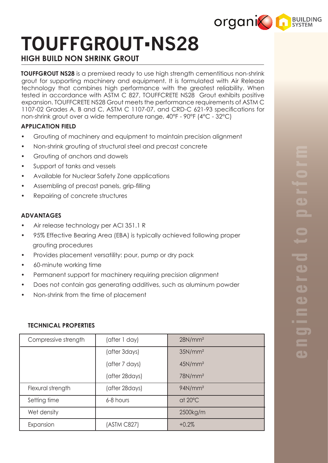

# **TOUFFGROUT**▪**NS28**

# **HIGH BUILD NON SHRINK GROUT**

**TOUFFGROUT NS28** is a premixed ready to use high strength cementitious non-shrink grout for supporting machinery and equipment. It is formulated with Air Release technology that combines high performance with the greatest reliability. When tested in accordance with ASTM C 827, TOUFFCRETE NS28 Grout exhibits positive expansion. TOUFFCRETE NS28 Grout meets the performance requirements of ASTM C 1107-02 Grades A, B and C, ASTM C 1107-07, and CRD-C 621-93 specifications for non-shrink grout over a wide temperature range, 40°F - 90°F (4°C - 32°C)

# **APPLICATION FIELD**

- Grouting of machinery and equipment to maintain precision alignment
- Non-shrink grouting of structural steel and precast concrete
- Grouting of anchors and dowels
- Support of tanks and vessels
- Available for Nuclear Safety Zone applications
- Assembling of precast panels, grip-filling
- Repairing of concrete structures

### **ADVANTAGES**

- Air release technology per ACI 351.1 R
- 95% Effective Bearing Area (EBA) is typically achieved following proper grouting procedures
- Provides placement versatility: pour, pump or dry pack
- 60-minute working time
- Permanent support for machinery requiring precision alignment
- Does not contain gas generating additives, such as aluminum powder
- Non-shrink from the time of placement

## **TECHNICAL PROPERTIES**

| Compressive strength | (after 1 day)   | 28N/mm <sup>2</sup> |
|----------------------|-----------------|---------------------|
|                      | (after 3days)   | 35N/mm <sup>2</sup> |
|                      | (after 7 days)  | 45N/mm <sup>2</sup> |
|                      | (after 28 days) | 78N/mm <sup>2</sup> |
| Flexural strength    | (after 28 days) | 94N/mm <sup>2</sup> |
| Setting time         | 6-8 hours       | at $20^{\circ}$ C   |
| Wet density          |                 | 2500kg/m            |
| Expansion            | (ASTM C827)     | $+0.2%$             |